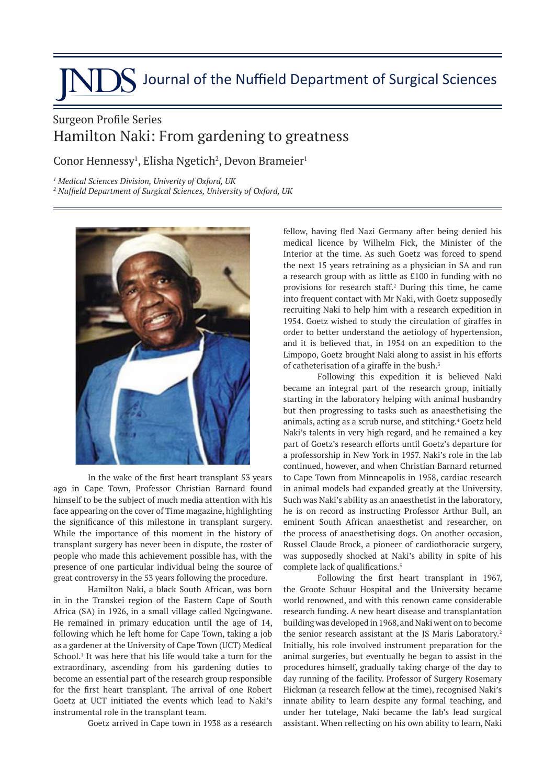## **JDS** Journal of the Nuffield Department of Surgical Sciences

## Surgeon Profile Series Hamilton Naki: From gardening to greatness

Conor Hennessy<sup>1</sup>, Elisha Ngetich<sup>2</sup>, Devon Brameier<sup>1</sup>

*1 Medical Sciences Division, Univerity of Oxford, UK*

*2 Nuffield Department of Surgical Sciences, University of Oxford, UK*



In the wake of the first heart transplant 53 years ago in Cape Town, Professor Christian Barnard found himself to be the subject of much media attention with his face appearing on the cover of Time magazine, highlighting the significance of this milestone in transplant surgery. While the importance of this moment in the history of transplant surgery has never been in dispute, the roster of people who made this achievement possible has, with the presence of one particular individual being the source of great controversy in the 53 years following the procedure.

Hamilton Naki, a black South African, was born in in the Transkei region of the Eastern Cape of South Africa (SA) in 1926, in a small village called Ngcingwane. He remained in primary education until the age of 14, following which he left home for Cape Town, taking a job as a gardener at the University of Cape Town (UCT) Medical School.<sup>1</sup> It was here that his life would take a turn for the extraordinary, ascending from his gardening duties to become an essential part of the research group responsible for the first heart transplant. The arrival of one Robert Goetz at UCT initiated the events which lead to Naki's instrumental role in the transplant team.

Goetz arrived in Cape town in 1938 as a research

fellow, having fled Nazi Germany after being denied his medical licence by Wilhelm Fick, the Minister of the Interior at the time. As such Goetz was forced to spend the next 15 years retraining as a physician in SA and run a research group with as little as £100 in funding with no provisions for research staff.<sup>2</sup> During this time, he came into frequent contact with Mr Naki, with Goetz supposedly recruiting Naki to help him with a research expedition in 1954. Goetz wished to study the circulation of giraffes in order to better understand the aetiology of hypertension, and it is believed that, in 1954 on an expedition to the Limpopo, Goetz brought Naki along to assist in his efforts of catheterisation of a giraffe in the bush.<sup>3</sup>

Following this expedition it is believed Naki became an integral part of the research group, initially starting in the laboratory helping with animal husbandry but then progressing to tasks such as anaesthetising the animals, acting as a scrub nurse, and stitching.<sup>4</sup> Goetz held Naki's talents in very high regard, and he remained a key part of Goetz's research efforts until Goetz's departure for a professorship in New York in 1957. Naki's role in the lab continued, however, and when Christian Barnard returned to Cape Town from Minneapolis in 1958, cardiac research in animal models had expanded greatly at the University. Such was Naki's ability as an anaesthetist in the laboratory, he is on record as instructing Professor Arthur Bull, an eminent South African anaesthetist and researcher, on the process of anaesthetising dogs. On another occasion, Russel Claude Brock, a pioneer of cardiothoracic surgery, was supposedly shocked at Naki's ability in spite of his complete lack of qualifications.5

Following the first heart transplant in 1967, the Groote Schuur Hospital and the University became world renowned, and with this renown came considerable research funding. A new heart disease and transplantation building was developed in 1968, and Naki went on to become the senior research assistant at the JS Maris Laboratory.<sup>2</sup> Initially, his role involved instrument preparation for the animal surgeries, but eventually he began to assist in the procedures himself, gradually taking charge of the day to day running of the facility. Professor of Surgery Rosemary Hickman (a research fellow at the time), recognised Naki's innate ability to learn despite any formal teaching, and under her tutelage, Naki became the lab's lead surgical assistant. When reflecting on his own ability to learn, Naki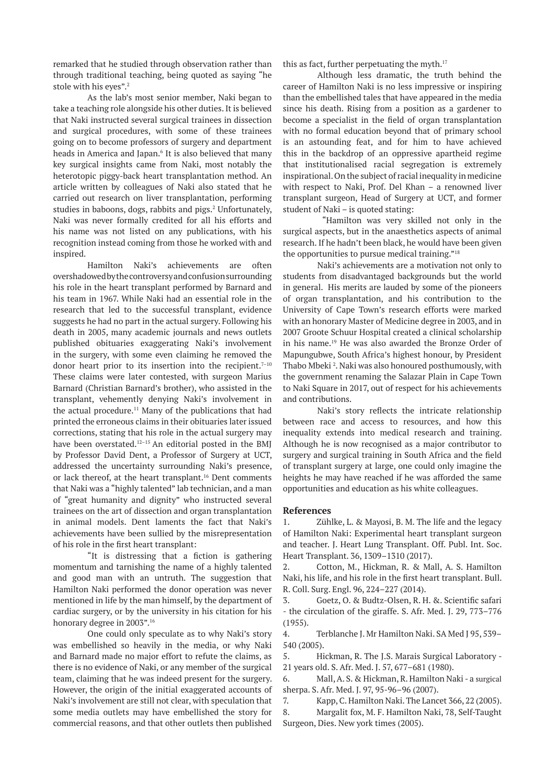remarked that he studied through observation rather than through traditional teaching, being quoted as saying "he stole with his eyes".<sup>2</sup>

As the lab's most senior member, Naki began to take a teaching role alongside his other duties. It is believed that Naki instructed several surgical trainees in dissection and surgical procedures, with some of these trainees going on to become professors of surgery and department heads in America and Japan.<sup>6</sup> It is also believed that many key surgical insights came from Naki, most notably the heterotopic piggy-back heart transplantation method. An article written by colleagues of Naki also stated that he carried out research on liver transplantation, performing studies in baboons, dogs, rabbits and pigs.<sup>2</sup> Unfortunately, Naki was never formally credited for all his efforts and his name was not listed on any publications, with his recognition instead coming from those he worked with and inspired.

Hamilton Naki's achievements are often overshadowed by the controversy and confusion surrounding his role in the heart transplant performed by Barnard and his team in 1967. While Naki had an essential role in the research that led to the successful transplant, evidence suggests he had no part in the actual surgery. Following his death in 2005, many academic journals and news outlets published obituaries exaggerating Naki's involvement in the surgery, with some even claiming he removed the donor heart prior to its insertion into the recipient. $7-10$ These claims were later contested, with surgeon Marius Barnard (Christian Barnard's brother), who assisted in the transplant, vehemently denying Naki's involvement in the actual procedure.<sup>11</sup> Many of the publications that had printed the erroneous claims in their obituaries later issued corrections, stating that his role in the actual surgery may have been overstated.<sup>12-15</sup> An editorial posted in the BMI by Professor David Dent, a Professor of Surgery at UCT, addressed the uncertainty surrounding Naki's presence, or lack thereof, at the heart transplant.<sup>16</sup> Dent comments that Naki was a "highly talented" lab technician, and a man of "great humanity and dignity" who instructed several trainees on the art of dissection and organ transplantation in animal models. Dent laments the fact that Naki's achievements have been sullied by the misrepresentation of his role in the first heart transplant:

"It is distressing that a fiction is gathering momentum and tarnishing the name of a highly talented and good man with an untruth. The suggestion that Hamilton Naki performed the donor operation was never mentioned in life by the man himself, by the department of cardiac surgery, or by the university in his citation for his honorary degree in 2003".<sup>16</sup>

One could only speculate as to why Naki's story was embellished so heavily in the media, or why Naki and Barnard made no major effort to refute the claims, as there is no evidence of Naki, or any member of the surgical team, claiming that he was indeed present for the surgery. However, the origin of the initial exaggerated accounts of Naki's involvement are still not clear, with speculation that some media outlets may have embellished the story for commercial reasons, and that other outlets then published

this as fact, further perpetuating the myth. $17$ 

Although less dramatic, the truth behind the career of Hamilton Naki is no less impressive or inspiring than the embellished tales that have appeared in the media since his death. Rising from a position as a gardener to become a specialist in the field of organ transplantation with no formal education beyond that of primary school is an astounding feat, and for him to have achieved this in the backdrop of an oppressive apartheid regime that institutionalised racial segregation is extremely inspirational. On the subject of racial inequality in medicine with respect to Naki, Prof. Del Khan – a renowned liver transplant surgeon, Head of Surgery at UCT, and former student of Naki – is quoted stating:

 "Hamilton was very skilled not only in the surgical aspects, but in the anaesthetics aspects of animal research. If he hadn't been black, he would have been given the opportunities to pursue medical training."18

Naki's achievements are a motivation not only to students from disadvantaged backgrounds but the world in general. His merits are lauded by some of the pioneers of organ transplantation, and his contribution to the University of Cape Town's research efforts were marked with an honorary Master of Medicine degree in 2003, and in 2007 Groote Schuur Hospital created a clinical scholarship in his name.19 He was also awarded the Bronze Order of Mapungubwe, South Africa's highest honour, by President Thabo Mbeki <sup>2</sup> . Naki was also honoured posthumously, with the government renaming the Salazar Plain in Cape Town to Naki Square in 2017, out of respect for his achievements and contributions.

Naki's story reflects the intricate relationship between race and access to resources, and how this inequality extends into medical research and training. Although he is now recognised as a major contributor to surgery and surgical training in South Africa and the field of transplant surgery at large, one could only imagine the heights he may have reached if he was afforded the same opportunities and education as his white colleagues.

## **References**

1. Zühlke, L. & Mayosi, B. M. The life and the legacy of Hamilton Naki: Experimental heart transplant surgeon and teacher. J. Heart Lung Transplant. Off. Publ. Int. Soc. Heart Transplant. 36, 1309–1310 (2017).

2. Cotton, M., Hickman, R. & Mall, A. S. Hamilton Naki, his life, and his role in the first heart transplant. Bull. R. Coll. Surg. Engl. 96, 224–227 (2014).

3. Goetz, O. & Budtz-Olsen, R. H. &. Scientific safari - the circulation of the giraffe. S. Afr. Med. J. 29, 773–776 (1955).

4. Terblanche J. Mr Hamilton Naki. SA Med J 95, 539– 540 (2005).

5. Hickman, R. The J.S. Marais Surgical Laboratory - 21 years old. S. Afr. Med. J. 57, 677–681 (1980).

6. Mall, A. S. & Hickman, R. Hamilton Naki - a surgical sherpa. S. Afr. Med. J. 97, 95-96–96 (2007).

7. Kapp, C. Hamilton Naki. The Lancet 366, 22 (2005).

8. Margalit fox, M. F. Hamilton Naki, 78, Self-Taught Surgeon, Dies. New york times (2005).